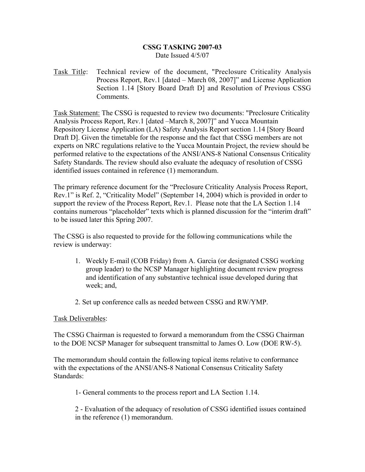## CSSG TASKING 2007-03 Date Issued 4/5/07

Task Title: Technical review of the document, "Preclosure Criticality Analysis Process Report, Rev.1 [dated – March 08, 2007]" and License Application Section 1.14 [Story Board Draft D] and Resolution of Previous CSSG **Comments** 

Task Statement: The CSSG is requested to review two documents: "Preclosure Criticality Analysis Process Report, Rev.1 [dated –March 8, 2007]" and Yucca Mountain Repository License Application (LA) Safety Analysis Report section 1.14 [Story Board Draft D]. Given the timetable for the response and the fact that CSSG members are not experts on NRC regulations relative to the Yucca Mountain Project, the review should be performed relative to the expectations of the ANSI/ANS-8 National Consensus Criticality Safety Standards. The review should also evaluate the adequacy of resolution of CSSG identified issues contained in reference (1) memorandum.

The primary reference document for the "Preclosure Criticality Analysis Process Report, Rev.1" is Ref. 2, "Criticality Model" (September 14, 2004) which is provided in order to support the review of the Process Report, Rev.1. Please note that the LA Section 1.14 contains numerous "placeholder" texts which is planned discussion for the "interim draft" to be issued later this Spring 2007.

The CSSG is also requested to provide for the following communications while the review is underway:

- 1. Weekly E-mail (COB Friday) from A. Garcia (or designated CSSG working group leader) to the NCSP Manager highlighting document review progress and identification of any substantive technical issue developed during that week; and,
- 2. Set up conference calls as needed between CSSG and RW/YMP.

## Task Deliverables:

The CSSG Chairman is requested to forward a memorandum from the CSSG Chairman to the DOE NCSP Manager for subsequent transmittal to James O. Low (DOE RW-5).

The memorandum should contain the following topical items relative to conformance with the expectations of the ANSI/ANS-8 National Consensus Criticality Safety Standards:

1- General comments to the process report and LA Section 1.14.

2 - Evaluation of the adequacy of resolution of CSSG identified issues contained in the reference (1) memorandum.